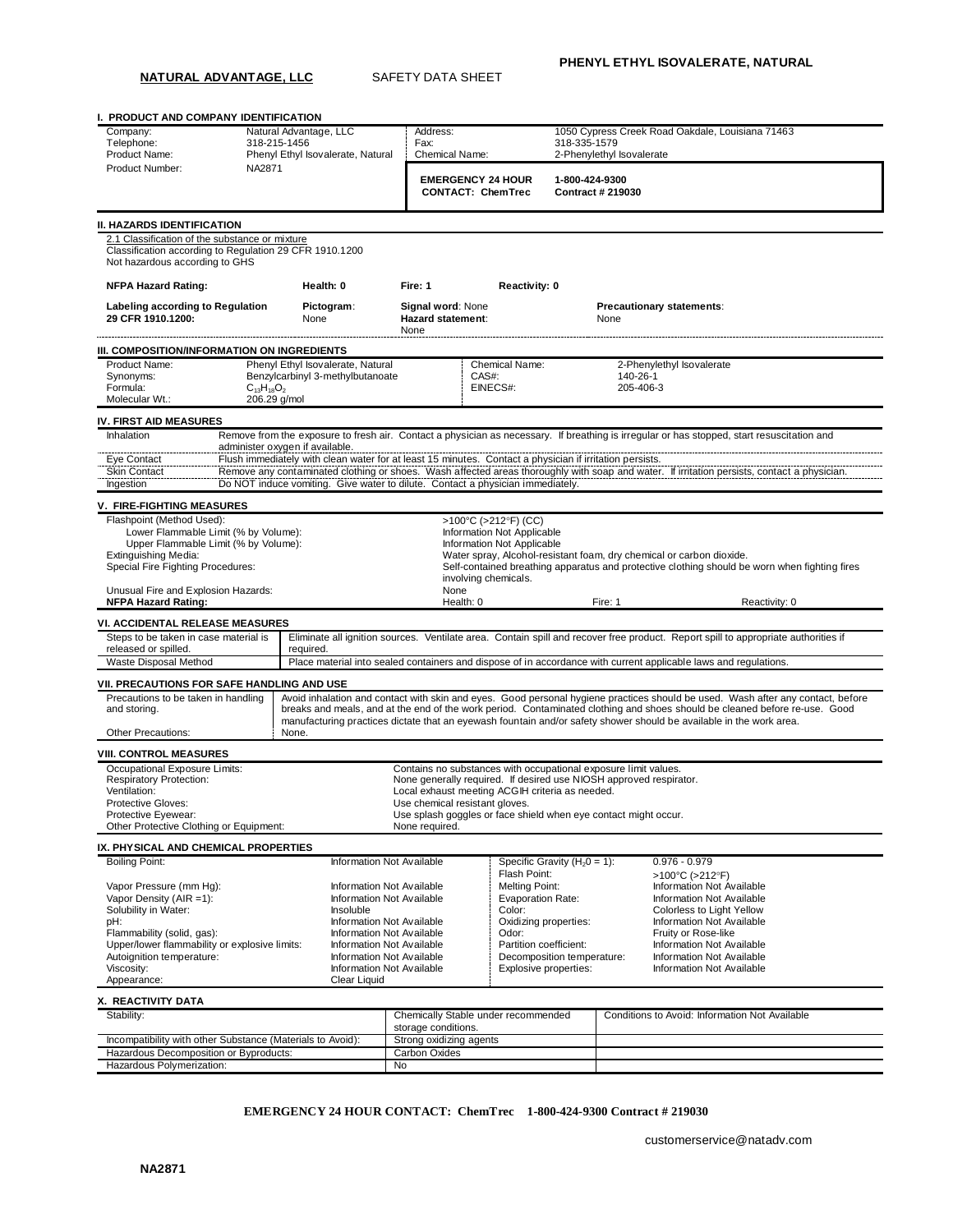**NATURAL ADVANTAGE, LLC** SAFETY DATA SHEET

**I. PRODUCT AND COMPANY IDENTIFICATION** Company: Natural Advantage, LLC Address: 1050 Cypress Creek Road Oakdale, Louisiana 71463<br>1999 - Telephone: 118-215-1456 - Fax: 118-335-1579 Telephone: 318-215-1456 Fax: Fax: 318-335-1579<br>Product Name: Phenyl Ethyl Isovalerate, Natural Chemical Name: 2-Phenylethyl Isovalerate Phenyl Ethyl Isovalerate, Natural Product Number: NA2871 **EMERGENCY 24 HOUR CONTACT: ChemTrec 1-800-424-9300 Contract # 219030 II. HAZARDS IDENTIFICATION** 2.1 Classification of the substance or mixture Classification according to Regulation 29 CFR 1910.1200 Not hazardous according to GHS **NFPA Hazard Rating: Health: 0 Fire: 1 Reactivity: 0 Labeling according to Regulation 29 CFR 1910.1200: Pictogram**: None **Signal word**: None **Hazard statement**: None **Precautionary statements**: None **III. COMPOSITION/INFORMATION ON INGREDIENTS** Product Name: Phenyl Ethyl Isovalerate, Natural Chemical Name: 2-Phenylethyl Isovalerate<br>
Phenylethyl 3-methylbutanoate CAS#: 2008-20140-26-1 Senzylcarbinyl 3-methylbutanoate CAS#: 140-26-1<br>
C<sub>13</sub>H<sub>18</sub>O<sub>2</sub> 205-406-3<br>
EINECS#: 205-406-3 Formula:  $C_{13}H_{18}O_2$  expansion of the EINECS#: 205-406-3 Molecular Wt.: 206.29 g/mol **IV. FIRST AID MEASURES** Inhalation Remove from the exposure to fresh air. Contact a physician as necessary. If breathing is irregular or has stopped, start resuscitation and administer oxygen if available. Eye Contact Flush immediately with clean water for at least 15 minutes. Contact a physician if irritation persists.<br>Skin Contact Remove any contaminated clothing or shoes. Wash affected areas thoroughly with soap and water Remove any contaminated clothing or shoes. Wash affected areas thoroughly with soap and water. If irritation persists, contact a physician. Ingestion Do NOT induce vomiting. Give water to dilute. Contact a physician immediately. **V. FIRE-FIGHTING MEASURES** Flashpoint (Method Used):  $>100^{\circ}C$  (>212°F) (CC)<br>
Lower Flammable Limit (% by Volume):  $\qquad \qquad$  Information Not Applicable Lower Flammable Limit (% by Volume):<br>
Lower Flammable Limit (% by Volume):<br>
Upper Flammable Limit (% by Volume): Information Not Applicable Upper Flammable Limit (% by Volume):<br>Extinguishing Media: Extinguishing Media: Water spray, Alcohol-resistant foam, dry chemical or carbon dioxide.<br>
Special Fire Fighting Procedures: The Contained breathing apparatus and protective clothing should be Self-contained breathing apparatus and protective clothing should be worn when fighting fires involving chemicals. Unusual Fire and Explosion Hazards: None **NFPA Hazard Rating: Notionally Reactivity: 0 Health: 0 Health: 0 Fire: 1 Heactivity: 0 Reactivity: 0 Reactivity: 0 Health: 0 Fire: 1 Reactivity: 0 Reactivity: 0 Health: 0 Health: 0 Health: 0 VI. ACCIDENTAL RELEASE MEASURES** Steps to be taken in case material is released or spilled.<br>Waste Disposal Method Eliminate all ignition sources. Ventilate area. Contain spill and recover free product. Report spill to appropriate authorities if required. Place material into sealed containers and dispose of in accordance with current applicable laws and regulations. **VII. PRECAUTIONS FOR SAFE HANDLING AND USE** Precautions to be taken in handling and storing. Avoid inhalation and contact with skin and eyes. Good personal hygiene practices should be used. Wash after any contact, before breaks and meals, and at the end of the work period. Contaminated clothing and shoes should be cleaned before re-use. Good manufacturing practices dictate that an eyewash fountain and/or safety shower should be available in the work area. Other Precautions: None. **VIII. CONTROL MEASURES** Occupational Exposure Limits: Respiratory Protection: Contains no substances with occupational exposure limit values. None generally required. If desired use NIOSH approved respirator. Ventilation:<br>
Local exhaust meeting ACGIH criteria as needed.<br>
Protective Gloves:<br>
Use chemical resistant gloves. Use chemical resistant gloves. Protective Eyewear: The State of the State of the State shield when eye contact might occur. Other Protective Clothing or Equipment: None required. **IX. PHYSICAL AND CHEMICAL PROPERTIES** Boiling Point: Information Not Available Specific Gravity (H20 = 1): 0.976 - 0.979 Flash Point:  $>100^{\circ}C$  (>212°F)<br>Melting Point: Information Not Available Vapor Pressure (mm Hg): Information Not Available Melting Point: Information Not Available Vapor Density (AIR =1):<br>Information Not Available Melting Point: Information Not Available Vaporation Rate: Information Not Availab Vapor Density (AIR =1): Solubility in Water: **Insoluble Color Color:** Color: Colorless to Light Yellow<br>
Distribution Oxidizing properties: Colorless to Light Yellow<br>
Oxidizing properties: Colorless to Light Yellow pH: Information Not Available | Oxidizing properties: Information Not Available | Oxidizing properties: Information Not Available | Color: Information Not Available | Odor: Information Not Available | Odor: Information Not Fruity or Rose-like<br>
Fruity or Rose-like<br>
Fruity or Rose-like<br>
Fruity or Rose-like<br>
Fruity or Rose-like<br>
Fruity or Rose-like<br>
Fruity or Rose-like Upper/lower flammability or explosive limits: Information Not Available Partition coefficient: Information Not Available<br>Autoignition temperature: Information Not Available Decomposition temperature: Information Not Availa Autoignition temperature: **Information Not Available Composition temperature** Information Not Available<br>
Viscosity: Information Not Available **Proposition Information Not Available** Proposition temperature: Information N Information Not Available Appearance: Clear Liquid **X. REACTIVITY DATA** Stability: Chemically Stable under recommended storage conditions. Conditions to Avoid: Information Not Available Incompatibility with other Substance (Materials to Avoid): Strong oxidizing agents Hazardous Decomposition or Byproducts: Carbon Oxides

**EMERGENCY 24 HOUR CONTACT: ChemTrec 1-800-424-9300 Contract # 219030**

Hazardous Polymerization: No